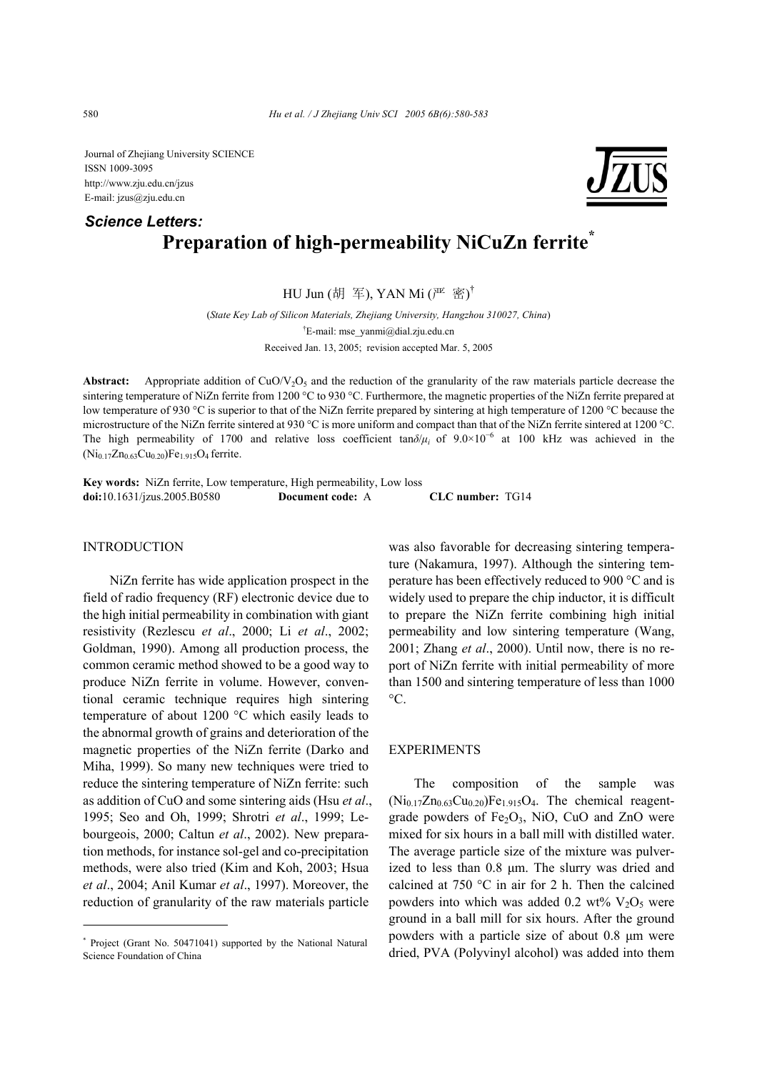Journal of Zhejiang University SCIENCE ISSN 1009-3095 http://www.zju.edu.cn/jzus E-mail: jzus@zju.edu.cn

# **Preparation of high-permeability NiCuZn ferrite\*** *Science Letters:*

HU Jun (胡 军), YAN Mi  $(\mathbb{P}^{\mathbb{Z}}$  密 $)^{\dagger}$ 

(*State Key Lab of Silicon Materials, Zhejiang University, Hangzhou 310027, China*) † E-mail: mse\_yanmi@dial.zju.edu.cn Received Jan. 13, 2005; revision accepted Mar. 5, 2005

**Abstract:** Appropriate addition of  $CuO/V<sub>2</sub>O<sub>5</sub>$  and the reduction of the granularity of the raw materials particle decrease the sintering temperature of NiZn ferrite from 1200 °C to 930 °C. Furthermore, the magnetic properties of the NiZn ferrite prepared at low temperature of 930 °C is superior to that of the NiZn ferrite prepared by sintering at high temperature of 1200 °C because the microstructure of the NiZn ferrite sintered at 930 °C is more uniform and compact than that of the NiZn ferrite sintered at 1200 °C. The high permeability of 1700 and relative loss coefficient tan*δ*/*µi* of 9.0×10<sup>−</sup><sup>6</sup> at 100 kHz was achieved in the  $(Ni_{0.17}Zn_{0.63}Cu_{0.20})Fe_{1.915}O_4$  ferrite.

**Key words:** NiZn ferrite, Low temperature, High permeability, Low loss **doi:**10.1631/jzus.2005.B0580 **Document code:** A **CLC number:** TG14

### INTRODUCTION

NiZn ferrite has wide application prospect in the field of radio frequency (RF) electronic device due to the high initial permeability in combination with giant resistivity (Rezlescu *et al*., 2000; Li *et al*., 2002; Goldman, 1990). Among all production process, the common ceramic method showed to be a good way to produce NiZn ferrite in volume. However, conventional ceramic technique requires high sintering temperature of about 1200 °C which easily leads to the abnormal growth of grains and deterioration of the magnetic properties of the NiZn ferrite (Darko and Miha, 1999). So many new techniques were tried to reduce the sintering temperature of NiZn ferrite: such as addition of CuO and some sintering aids (Hsu *et al*., 1995; Seo and Oh, 1999; Shrotri *et al*., 1999; Lebourgeois, 2000; Caltun *et al*., 2002). New preparation methods, for instance sol-gel and co-precipitation methods, were also tried (Kim and Koh, 2003; Hsua *et al*., 2004; Anil Kumar *et al*., 1997). Moreover, the reduction of granularity of the raw materials particle

was also favorable for decreasing sintering temperature (Nakamura, 1997). Although the sintering temperature has been effectively reduced to 900 °C and is widely used to prepare the chip inductor, it is difficult to prepare the NiZn ferrite combining high initial permeability and low sintering temperature (Wang, 2001; Zhang *et al*., 2000). Until now, there is no report of NiZn ferrite with initial permeability of more than 1500 and sintering temperature of less than 1000  $\rm{^{\circ}C}$ .

#### EXPERIMENTS

The composition of the sample was  $(Ni_{0.17}Zn_{0.63}Cu_{0.20})Fe_{1.915}O_4$ . The chemical reagentgrade powders of  $Fe<sub>2</sub>O<sub>3</sub>$ , NiO, CuO and ZnO were mixed for six hours in a ball mill with distilled water. The average particle size of the mixture was pulverized to less than 0.8 µm. The slurry was dried and calcined at 750 °C in air for 2 h. Then the calcined powders into which was added 0.2 wt%  $V_2O_5$  were ground in a ball mill for six hours. After the ground powders with a particle size of about 0.8 µm were dried, PVA (Polyvinyl alcohol) was added into them



<sup>\*</sup> Project (Grant No. 50471041) supported by the National Natural Science Foundation of China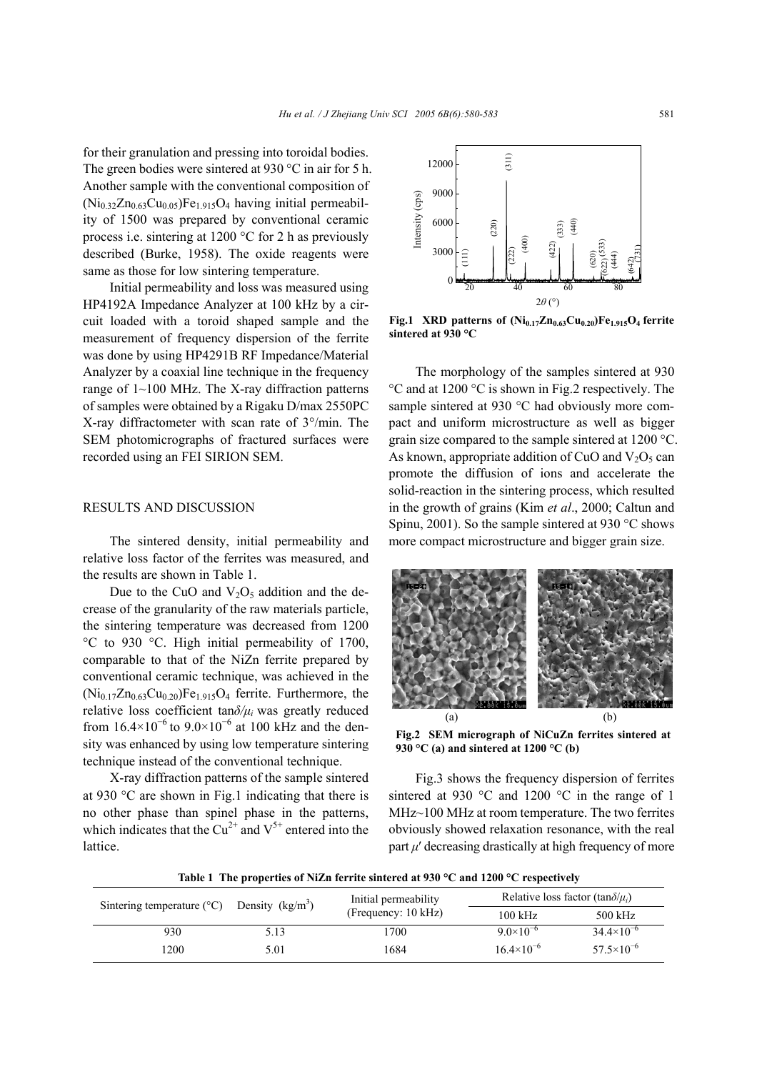for their granulation and pressing into toroidal bodies. The green bodies were sintered at 930 °C in air for 5 h. Another sample with the conventional composition of  $(Ni<sub>0.32</sub>Zn<sub>0.63</sub>Cu<sub>0.05</sub>)Fe<sub>1.915</sub>O<sub>4</sub> having initial permeabil$ ity of 1500 was prepared by conventional ceramic process i.e. sintering at 1200 °C for 2 h as previously described (Burke, 1958). The oxide reagents were same as those for low sintering temperature.

Initial permeability and loss was measured using HP4192A Impedance Analyzer at 100 kHz by a circuit loaded with a toroid shaped sample and the measurement of frequency dispersion of the ferrite was done by using HP4291B RF Impedance/Material Analyzer by a coaxial line technique in the frequency range of  $1 \sim 100$  MHz. The X-ray diffraction patterns of samples were obtained by a Rigaku D/max 2550PC X-ray diffractometer with scan rate of 3°/min. The SEM photomicrographs of fractured surfaces were recorded using an FEI SIRION SEM.

#### RESULTS AND DISCUSSION

The sintered density, initial permeability and relative loss factor of the ferrites was measured, and the results are shown in Table 1.

Due to the CuO and  $V_2O_5$  addition and the decrease of the granularity of the raw materials particle, the sintering temperature was decreased from 1200 °C to 930 °C. High initial permeability of 1700, comparable to that of the NiZn ferrite prepared by conventional ceramic technique, was achieved in the  $(Ni<sub>0.17</sub>Zn<sub>0.63</sub>Cu<sub>0.20</sub>)Fe<sub>1.915</sub>O<sub>4</sub>$  ferrite. Furthermore, the relative loss coefficient tan*δ/µi* was greatly reduced from  $16.4 \times 10^{-6}$  to  $9.0 \times 10^{-6}$  at 100 kHz and the density was enhanced by using low temperature sintering technique instead of the conventional technique.

X-ray diffraction patterns of the sample sintered at 930 °C are shown in Fig.1 indicating that there is no other phase than spinel phase in the patterns, which indicates that the  $Cu^{2+}$  and  $V^{5+}$  entered into the lattice.



Fig.1 XRD patterns of  $(Ni_{0.17}Zn_{0.63}Cu_{0.20})Fe_{1.915}O_4$  ferrite **sintered at 930 °C** 

The morphology of the samples sintered at 930 °C and at 1200 °C is shown in Fig.2 respectively. The sample sintered at 930 °C had obviously more compact and uniform microstructure as well as bigger grain size compared to the sample sintered at 1200 °C. As known, appropriate addition of CuO and  $V_2O_5$  can promote the diffusion of ions and accelerate the solid-reaction in the sintering process, which resulted in the growth of grains (Kim *et al*., 2000; Caltun and Spinu, 2001). So the sample sintered at 930 °C shows more compact microstructure and bigger grain size.



**Fig.2 SEM micrograph of NiCuZn ferrites sintered at 930 °C (a) and sintered at 1200 °C (b)** 

Fig.3 shows the frequency dispersion of ferrites sintered at 930 °C and 1200 °C in the range of 1 MHz~100 MHz at room temperature. The two ferrites obviously showed relaxation resonance, with the real part  $\mu'$  decreasing drastically at high frequency of more

**Table 1 The properties of NiZn ferrite sintered at 930 °C and 1200 °C respectively** 

| Sintering temperature $(^{\circ}C)$ | Density $(kg/m3)$ | Initial permeability<br>(Frequency: 10 kHz) | Relative loss factor (tan $\delta/\mu_i$ ) |                       |
|-------------------------------------|-------------------|---------------------------------------------|--------------------------------------------|-----------------------|
|                                     |                   |                                             | $100$ kHz                                  | 500 kHz               |
| 930                                 | 5.13              | '700                                        | 9.0 $\times$ 10 <sup>-6</sup>              | $34.4\times10^{-6}$   |
| 1200                                | 5.01              | 1684                                        | $16.4\times10^{-6}$                        | $57.5 \times 10^{-6}$ |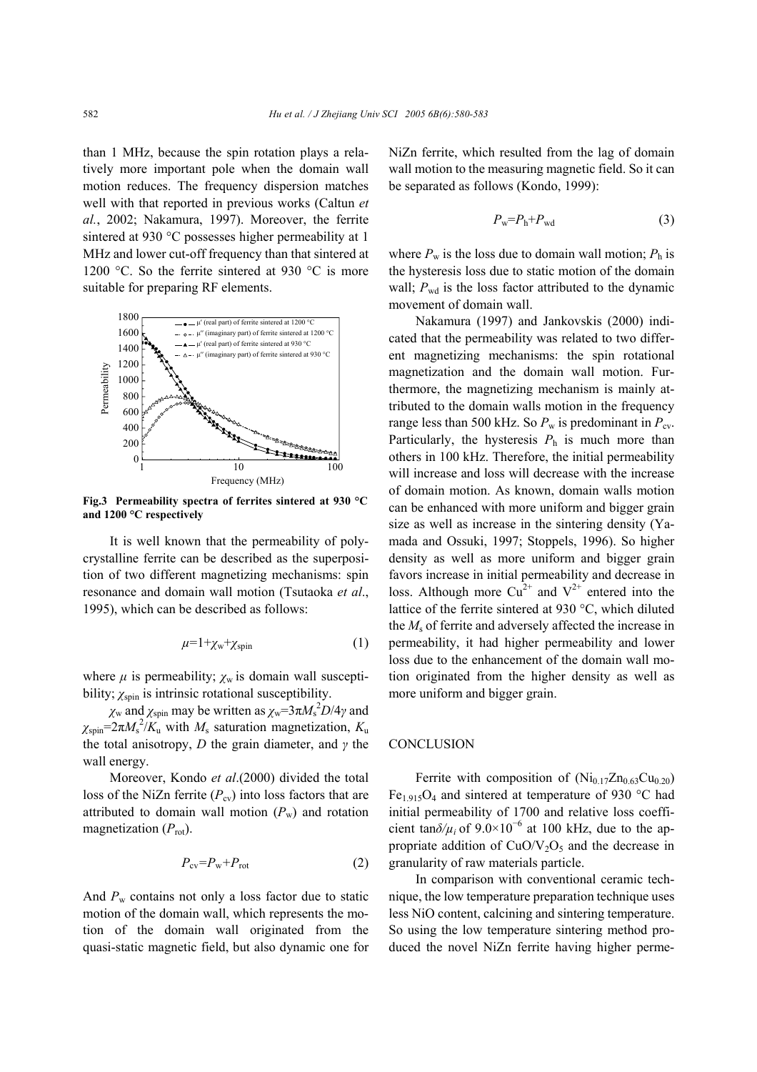than 1 MHz, because the spin rotation plays a relatively more important pole when the domain wall motion reduces. The frequency dispersion matches well with that reported in previous works (Caltun *et al.*, 2002; Nakamura, 1997). Moreover, the ferrite sintered at 930 °C possesses higher permeability at 1 MHz and lower cut-off frequency than that sintered at 1200 °C. So the ferrite sintered at 930 °C is more suitable for preparing RF elements.



**Fig.3 Permeability spectra of ferrites sintered at 930 °C and 1200 °C respectively** 

It is well known that the permeability of polycrystalline ferrite can be described as the superposition of two different magnetizing mechanisms: spin resonance and domain wall motion (Tsutaoka *et al*., 1995), which can be described as follows:

$$
\mu=1+\chi_{\rm w}+\chi_{\rm spin} \tag{1}
$$

where  $\mu$  is permeability;  $\chi_w$  is domain wall susceptibility;  $\chi_{spin}$  is intrinsic rotational susceptibility.

*χ*<sub>w</sub> and *χ*<sub>spin</sub> may be written as  $\chi$ <sub>w</sub>=3π*M*<sub>s</sub><sup>2</sup>*D*/4*γ* and  $\chi_{spin} = 2\pi M_s^2 / K_u$  with  $M_s$  saturation magnetization,  $K_u$ the total anisotropy, *D* the grain diameter, and *γ* the wall energy.

Moreover, Kondo *et al*.(2000) divided the total loss of the NiZn ferrite  $(P_{cy})$  into loss factors that are attributed to domain wall motion  $(P_w)$  and rotation magnetization  $(P_{\text{rot}})$ .

$$
P_{\rm cv} = P_{\rm w} + P_{\rm rot} \tag{2}
$$

And  $P_w$  contains not only a loss factor due to static motion of the domain wall, which represents the motion of the domain wall originated from the quasi-static magnetic field, but also dynamic one for NiZn ferrite, which resulted from the lag of domain wall motion to the measuring magnetic field. So it can be separated as follows (Kondo, 1999):

$$
P_{\rm w} = P_{\rm h} + P_{\rm wd} \tag{3}
$$

where  $P_w$  is the loss due to domain wall motion;  $P_h$  is the hysteresis loss due to static motion of the domain wall;  $P_{\text{wd}}$  is the loss factor attributed to the dynamic movement of domain wall.

Nakamura (1997) and Jankovskis (2000) indicated that the permeability was related to two different magnetizing mechanisms: the spin rotational magnetization and the domain wall motion. Furthermore, the magnetizing mechanism is mainly attributed to the domain walls motion in the frequency range less than 500 kHz. So  $P_w$  is predominant in  $P_{cv}$ . Particularly, the hysteresis  $P_h$  is much more than others in 100 kHz. Therefore, the initial permeability will increase and loss will decrease with the increase of domain motion. As known, domain walls motion can be enhanced with more uniform and bigger grain size as well as increase in the sintering density (Yamada and Ossuki, 1997; Stoppels, 1996). So higher density as well as more uniform and bigger grain favors increase in initial permeability and decrease in loss. Although more  $Cu^{2+}$  and  $V^{2+}$  entered into the lattice of the ferrite sintered at 930 °C, which diluted the *M*s of ferrite and adversely affected the increase in permeability, it had higher permeability and lower loss due to the enhancement of the domain wall motion originated from the higher density as well as more uniform and bigger grain.

## **CONCLUSION**

Ferrite with composition of  $(Ni_{0.17}Zn_{0.63}Cu_{0.20})$ Fe<sub>1.915</sub>O<sub>4</sub> and sintered at temperature of 930 °C had initial permeability of 1700 and relative loss coefficient tan $\delta/\mu_i$  of 9.0×10<sup>-6</sup> at 100 kHz, due to the appropriate addition of  $CuO/V<sub>2</sub>O<sub>5</sub>$  and the decrease in granularity of raw materials particle.

In comparison with conventional ceramic technique, the low temperature preparation technique uses less NiO content, calcining and sintering temperature. So using the low temperature sintering method produced the novel NiZn ferrite having higher perme